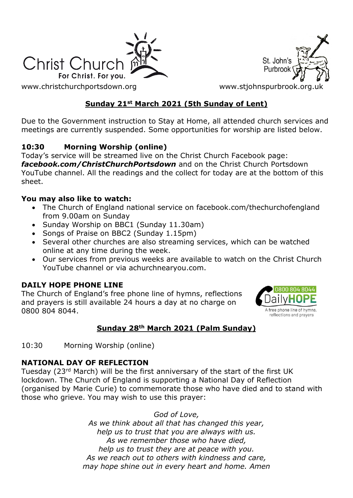

St. John's Purbroo

[www.christchurchportsdown.org](http://www.christchurchportsdown.org/) www.stjohnspurbrook.org

# **Sunday 21st March 2021 (5th Sunday of Lent)**

Due to the Government instruction to Stay at Home, all attended church services and meetings are currently suspended. Some opportunities for worship are listed below.

# **10:30 Morning Worship (online)**

Today's service will be streamed live on the Christ Church Facebook page: *[facebook.com/ChristChurchPortsdown](http://www.facebook.com/ChristChurchPortsdown%20at%2010.30)* and on the Christ Church Portsdown YouTube channel. All the readings and the collect for today are at the bottom of this sheet.

#### **You may also like to watch:**

- The Church of England national service on facebook.com/thechurchofengland from 9.00am on Sunday
- Sunday Worship on BBC1 (Sunday 11.30am)
- Songs of Praise on BBC2 (Sunday 1.15pm)
- Several other churches are also streaming services, which can be watched online at any time during the week.
- Our services from previous weeks are available to watch on the Christ Church YouTube channel or via achurchnearyou.com.

### **DAILY HOPE PHONE LINE**

The Church of England's free phone line of hymns, reflections and prayers is still available 24 hours a day at no charge on 0800 804 8044.



# **Sunday 28th March 2021 (Palm Sunday)**

10:30 Morning Worship (online)

#### **NATIONAL DAY OF REFLECTION**

Tuesday (23rd March) will be the first anniversary of the start of the first UK lockdown. The Church of England is supporting a National Day of Reflection (organised by Marie Curie) to commemorate those who have died and to stand with those who grieve. You may wish to use this prayer:

> *God of Love, As we think about all that has changed this year, help us to trust that you are always with us. As we remember those who have died, help us to trust they are at peace with you. As we reach out to others with kindness and care, may hope shine out in every heart and home. Amen*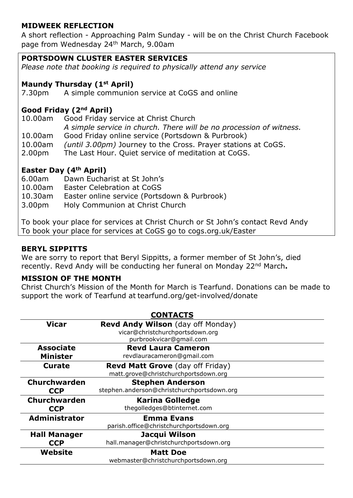#### **MIDWEEK REFLECTION**

A short reflection - Approaching Palm Sunday - will be on the Christ Church Facebook page from Wednesday 24th March, 9.00am

#### **PORTSDOWN CLUSTER EASTER SERVICES**

*Please note that booking is required to physically attend any service*

#### **Maundy Thursday (1st April)**

7.30pm A simple communion service at CoGS and online

### **Good Friday (2nd April)**

10.00am Good Friday service at Christ Church *A simple service in church. There will be no procession of witness.* 10.00am Good Friday online service (Portsdown & Purbrook) 10.00am *(until 3.00pm)* Journey to the Cross. Prayer stations at CoGS. 2.00pm The Last Hour. Quiet service of meditation at CoGS.

#### **Easter Day (4th April)**

- 6.00am Dawn Eucharist at St John's
- 10.00am Easter Celebration at CoGS
- 10.30am Easter online service (Portsdown & Purbrook)
- 3.00pm Holy Communion at Christ Church

To book your place for services at Christ Church or St John's contact Revd Andy To book your place for services at CoGS go to cogs.org.uk/Easter

#### **BERYL SIPPITTS**

We are sorry to report that Beryl Sippitts, a former member of St John's, died recently. Revd Andy will be conducting her funeral on Monday 22nd March**.**

#### **MISSION OF THE MONTH**

Christ Church's Mission of the Month for March is Tearfund. Donations can be made to support the work of Tearfund at tearfund.org/get-involved/donate

| <b>CONTACTS</b>      |                                            |
|----------------------|--------------------------------------------|
| <b>Vicar</b>         | <b>Revd Andy Wilson</b> (day off Monday)   |
|                      | vicar@christchurchportsdown.org            |
|                      | purbrookvicar@gmail.com                    |
| <b>Associate</b>     | <b>Revd Laura Cameron</b>                  |
| <b>Minister</b>      | revdlauracameron@gmail.com                 |
| <b>Curate</b>        | <b>Revd Matt Grove</b> (day off Friday)    |
|                      | matt.grove@christchurchportsdown.org       |
| <b>Churchwarden</b>  | <b>Stephen Anderson</b>                    |
| <b>CCP</b>           | stephen.anderson@christchurchportsdown.org |
| Churchwarden         | <b>Karina Golledge</b>                     |
| <b>CCP</b>           | thegolledges@btinternet.com                |
| <b>Administrator</b> | <b>Emma Evans</b>                          |
|                      | parish.office@christchurchportsdown.org    |
| <b>Hall Manager</b>  | Jacqui Wilson                              |
| <b>CCP</b>           | hall.manager@christchurchportsdown.org     |
| Website              | <b>Matt Doe</b>                            |
|                      | webmaster@christchurchportsdown.org        |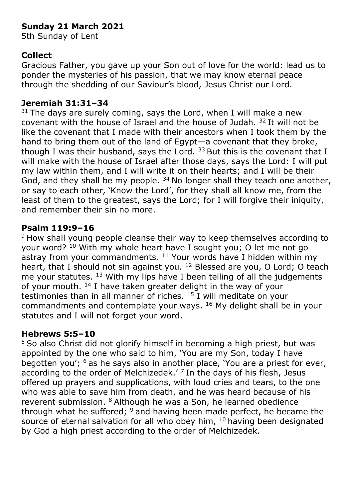# **Sunday 21 March 2021**

5th Sunday of Lent

# **Collect**

Gracious Father, you gave up your Son out of love for the world: lead us to ponder the mysteries of his passion, that we may know eternal peace through the shedding of our Saviour's blood, Jesus Christ our Lord.

### **Jeremiah 31:31–34**

 $31$  The days are surely coming, says the Lord, when I will make a new covenant with the house of Israel and the house of Judah. <sup>32</sup>It will not be like the covenant that I made with their ancestors when I took them by the hand to bring them out of the land of Egypt—a covenant that they broke, though I was their husband, says the Lord.  $33$  But this is the covenant that I will make with the house of Israel after those days, says the Lord: I will put my law within them, and I will write it on their hearts; and I will be their God, and they shall be my people.  $34$  No longer shall they teach one another, or say to each other, 'Know the Lord', for they shall all know me, from the least of them to the greatest, says the Lord; for I will forgive their iniquity, and remember their sin no more.

# **Psalm 119:9–16**

<sup>9</sup> How shall young people cleanse their way to keep themselves according to your word? <sup>10</sup> With my whole heart have I sought you; O let me not go astray from your commandments.  $11$  Your words have I hidden within my heart, that I should not sin against you. <sup>12</sup> Blessed are you, O Lord; O teach me your statutes. <sup>13</sup> With my lips have I been telling of all the judgements of your mouth. <sup>14</sup> I have taken greater delight in the way of your testimonies than in all manner of riches.  $15$  I will meditate on your commandments and contemplate your ways. <sup>16</sup> My delight shall be in your statutes and I will not forget your word.

### **Hebrews 5:5–10**

<sup>5</sup> So also Christ did not glorify himself in becoming a high priest, but was appointed by the one who said to him, 'You are my Son, today I have begotten you'; <sup>6</sup> as he says also in another place, 'You are a priest for ever, according to the order of Melchizedek.<sup> $\prime$  7</sup> In the days of his flesh, Jesus offered up prayers and supplications, with loud cries and tears, to the one who was able to save him from death, and he was heard because of his reverent submission. <sup>8</sup>Although he was a Son, he learned obedience through what he suffered;  $9$  and having been made perfect, he became the source of eternal salvation for all who obey him,  $10$  having been designated by God a high priest according to the order of Melchizedek.